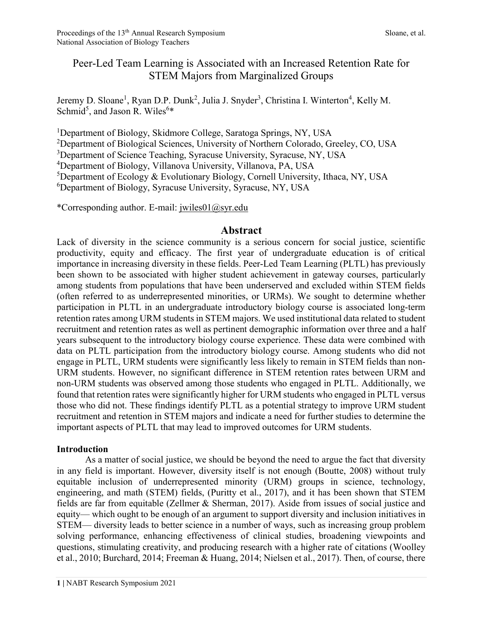# Peer-Led Team Learning is Associated with an Increased Retention Rate for STEM Majors from Marginalized Groups

Jeremy D. Sloane<sup>1</sup>, Ryan D.P. Dunk<sup>2</sup>, Julia J. Snyder<sup>3</sup>, Christina I. Winterton<sup>4</sup>, Kelly M. Schmid<sup>5</sup>, and Jason R. Wiles<sup>6\*</sup>

<sup>1</sup>Department of Biology, Skidmore College, Saratoga Springs, NY, USA

<sup>2</sup>Department of Biological Sciences, University of Northern Colorado, Greeley, CO, USA

<sup>3</sup>Department of Science Teaching, Syracuse University, Syracuse, NY, USA

<sup>4</sup>Department of Biology, Villanova University, Villanova, PA, USA

<sup>5</sup>Department of Ecology & Evolutionary Biology, Cornell University, Ithaca, NY, USA

<sup>6</sup>Department of Biology, Syracuse University, Syracuse, NY, USA

\*Corresponding author. E-mail: jwiles01@syr.edu

### Abstract

Lack of diversity in the science community is a serious concern for social justice, scientific productivity, equity and efficacy. The first year of undergraduate education is of critical importance in increasing diversity in these fields. Peer-Led Team Learning (PLTL) has previously been shown to be associated with higher student achievement in gateway courses, particularly among students from populations that have been underserved and excluded within STEM fields (often referred to as underrepresented minorities, or URMs). We sought to determine whether participation in PLTL in an undergraduate introductory biology course is associated long-term retention rates among URM students in STEM majors. We used institutional data related to student recruitment and retention rates as well as pertinent demographic information over three and a half years subsequent to the introductory biology course experience. These data were combined with data on PLTL participation from the introductory biology course. Among students who did not engage in PLTL, URM students were significantly less likely to remain in STEM fields than non-URM students. However, no significant difference in STEM retention rates between URM and non-URM students was observed among those students who engaged in PLTL. Additionally, we found that retention rates were significantly higher for URM students who engaged in PLTL versus those who did not. These findings identify PLTL as a potential strategy to improve URM student recruitment and retention in STEM majors and indicate a need for further studies to determine the important aspects of PLTL that may lead to improved outcomes for URM students.

#### Introduction

As a matter of social justice, we should be beyond the need to argue the fact that diversity in any field is important. However, diversity itself is not enough (Boutte, 2008) without truly equitable inclusion of underrepresented minority (URM) groups in science, technology, engineering, and math (STEM) fields, (Puritty et al., 2017), and it has been shown that STEM fields are far from equitable (Zellmer & Sherman, 2017). Aside from issues of social justice and equity— which ought to be enough of an argument to support diversity and inclusion initiatives in STEM— diversity leads to better science in a number of ways, such as increasing group problem solving performance, enhancing effectiveness of clinical studies, broadening viewpoints and questions, stimulating creativity, and producing research with a higher rate of citations (Woolley et al., 2010; Burchard, 2014; Freeman & Huang, 2014; Nielsen et al., 2017). Then, of course, there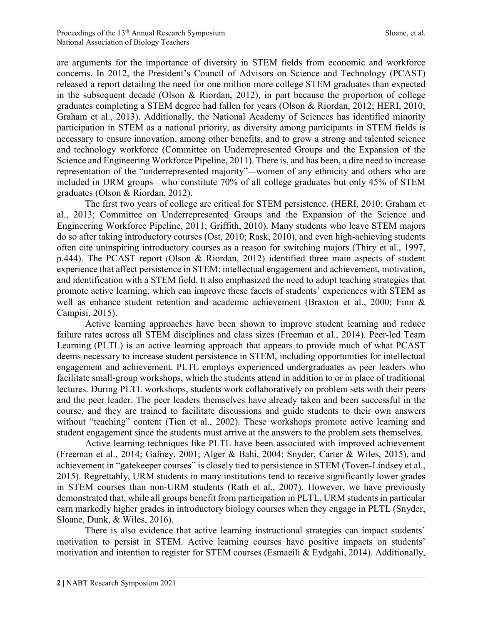are arguments for the importance of diversity in STEM fields from economic and workforce concerns. In 2012, the President's Council of Advisors on Science and Technology (PCAST) released a report detailing the need for one million more college STEM graduates than expected in the subsequent decade (Olson & Riordan, 2012), in part because the proportion of college graduates completing a STEM degree had fallen for years (Olson & Riordan, 2012; HERI, 2010; Graham et al., 2013). Additionally, the National Academy of Sciences has identified minority participation in STEM as a national priority, as diversity among participants in STEM fields is necessary to ensure innovation, among other benefits, and to grow a strong and talented science and technology workforce (Committee on Underrepresented Groups and the Expansion of the Science and Engineering Workforce Pipeline, 2011). There is, and has been, a dire need to increase representation of the "underrepresented majority"—women of any ethnicity and others who are included in URM groups—who constitute 70% of all college graduates but only 45% of STEM graduates (Olson & Riordan, 2012).

 The first two years of college are critical for STEM persistence. (HERI, 2010; Graham et al., 2013; Committee on Underrepresented Groups and the Expansion of the Science and Engineering Workforce Pipeline, 2011; Griffith, 2010). Many students who leave STEM majors do so after taking introductory courses (Ost, 2010; Rask, 2010), and even high-achieving students often cite uninspiring introductory courses as a reason for switching majors (Thiry et al., 1997, p.444). The PCAST report (Olson & Riordan, 2012) identified three main aspects of student experience that affect persistence in STEM: intellectual engagement and achievement, motivation, and identification with a STEM field. It also emphasized the need to adopt teaching strategies that promote active learning, which can improve these facets of students' experiences with STEM as well as enhance student retention and academic achievement (Braxton et al., 2000; Finn & Campisi, 2015).

 Active learning approaches have been shown to improve student learning and reduce failure rates across all STEM disciplines and class sizes (Freeman et al., 2014). Peer-led Team Learning (PLTL) is an active learning approach that appears to provide much of what PCAST deems necessary to increase student persistence in STEM, including opportunities for intellectual engagement and achievement. PLTL employs experienced undergraduates as peer leaders who facilitate small-group workshops, which the students attend in addition to or in place of traditional lectures. During PLTL workshops, students work collaboratively on problem sets with their peers and the peer leader. The peer leaders themselves have already taken and been successful in the course, and they are trained to facilitate discussions and guide students to their own answers without "teaching" content (Tien et al., 2002). These workshops promote active learning and student engagement since the students must arrive at the answers to the problem sets themselves.

Active learning techniques like PLTL have been associated with improved achievement (Freeman et al., 2014; Gafney, 2001; Alger & Bahi, 2004; Snyder, Carter & Wiles, 2015), and achievement in "gatekeeper courses" is closely tied to persistence in STEM (Toven-Lindsey et al., 2015). Regrettably, URM students in many institutions tend to receive significantly lower grades in STEM courses than non-URM students (Rath et al., 2007). However, we have previously demonstrated that, while all groups benefit from participation in PLTL, URM students in particular earn markedly higher grades in introductory biology courses when they engage in PLTL (Snyder, Sloane, Dunk, & Wiles, 2016).

 There is also evidence that active learning instructional strategies can impact students' motivation to persist in STEM. Active learning courses have positive impacts on students' motivation and intention to register for STEM courses (Esmaeili & Eydgahi, 2014). Additionally,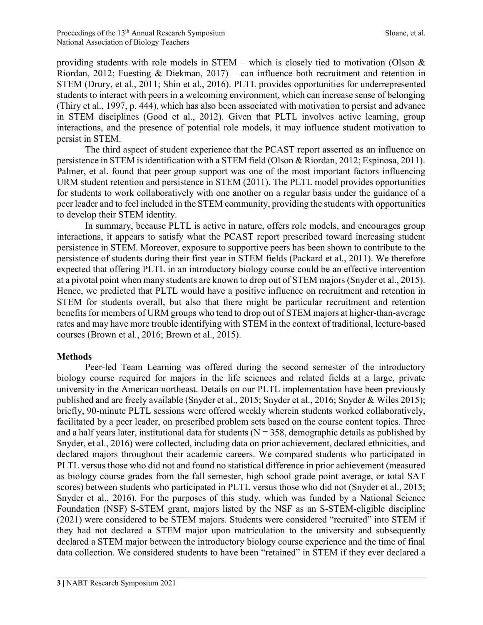providing students with role models in STEM – which is closely tied to motivation (Olson  $\&$ Riordan, 2012; Fuesting & Diekman, 2017) – can influence both recruitment and retention in STEM (Drury, et al., 2011; Shin et al., 2016). PLTL provides opportunities for underrepresented students to interact with peers in a welcoming environment, which can increase sense of belonging (Thiry et al., 1997, p. 444), which has also been associated with motivation to persist and advance in STEM disciplines (Good et al., 2012). Given that PLTL involves active learning, group interactions, and the presence of potential role models, it may influence student motivation to persist in STEM.

 The third aspect of student experience that the PCAST report asserted as an influence on persistence in STEM is identification with a STEM field (Olson & Riordan, 2012; Espinosa, 2011). Palmer, et al. found that peer group support was one of the most important factors influencing URM student retention and persistence in STEM (2011). The PLTL model provides opportunities for students to work collaboratively with one another on a regular basis under the guidance of a peer leader and to feel included in the STEM community, providing the students with opportunities to develop their STEM identity.

 In summary, because PLTL is active in nature, offers role models, and encourages group interactions, it appears to satisfy what the PCAST report prescribed toward increasing student persistence in STEM. Moreover, exposure to supportive peers has been shown to contribute to the persistence of students during their first year in STEM fields (Packard et al., 2011). We therefore expected that offering PLTL in an introductory biology course could be an effective intervention at a pivotal point when many students are known to drop out of STEM majors (Snyder et al., 2015). Hence, we predicted that PLTL would have a positive influence on recruitment and retention in STEM for students overall, but also that there might be particular recruitment and retention benefits for members of URM groups who tend to drop out of STEM majors at higher-than-average rates and may have more trouble identifying with STEM in the context of traditional, lecture-based courses (Brown et al., 2016; Brown et al., 2015).

#### Methods

Peer-led Team Learning was offered during the second semester of the introductory biology course required for majors in the life sciences and related fields at a large, private university in the American northeast. Details on our PLTL implementation have been previously published and are freely available (Snyder et al., 2015; Snyder et al., 2016; Snyder & Wiles 2015); briefly, 90-minute PLTL sessions were offered weekly wherein students worked collaboratively, facilitated by a peer leader, on prescribed problem sets based on the course content topics. Three and a half years later, institutional data for students ( $N = 358$ , demographic details as published by Snyder, et al., 2016) were collected, including data on prior achievement, declared ethnicities, and declared majors throughout their academic careers. We compared students who participated in PLTL versus those who did not and found no statistical difference in prior achievement (measured as biology course grades from the fall semester, high school grade point average, or total SAT scores) between students who participated in PLTL versus those who did not (Snyder et al., 2015; Snyder et al., 2016). For the purposes of this study, which was funded by a National Science Foundation (NSF) S-STEM grant, majors listed by the NSF as an S-STEM-eligible discipline (2021) were considered to be STEM majors. Students were considered "recruited" into STEM if they had not declared a STEM major upon matriculation to the university and subsequently declared a STEM major between the introductory biology course experience and the time of final data collection. We considered students to have been "retained" in STEM if they ever declared a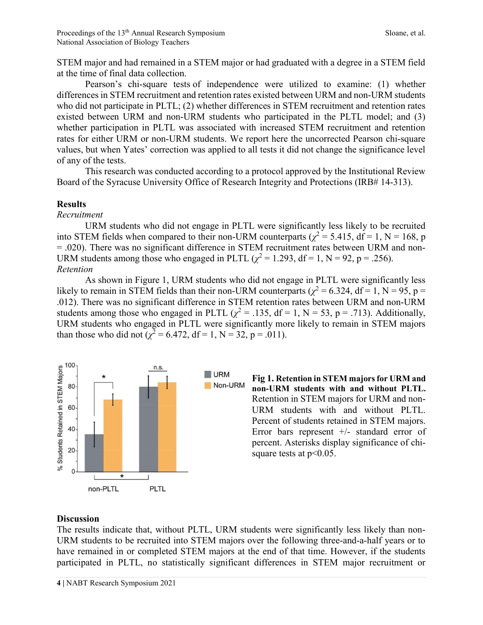STEM major and had remained in a STEM major or had graduated with a degree in a STEM field at the time of final data collection.

Pearson's chi-square tests of independence were utilized to examine: (1) whether differences in STEM recruitment and retention rates existed between URM and non-URM students who did not participate in PLTL; (2) whether differences in STEM recruitment and retention rates existed between URM and non-URM students who participated in the PLTL model; and (3) whether participation in PLTL was associated with increased STEM recruitment and retention rates for either URM or non-URM students. We report here the uncorrected Pearson chi-square values, but when Yates' correction was applied to all tests it did not change the significance level of any of the tests.

This research was conducted according to a protocol approved by the Institutional Review Board of the Syracuse University Office of Research Integrity and Protections (IRB# 14-313).

#### Results

Recruitment

 URM students who did not engage in PLTL were significantly less likely to be recruited into STEM fields when compared to their non-URM counterparts ( $\chi^2$  = 5.415, df = 1, N = 168, p = .020). There was no significant difference in STEM recruitment rates between URM and non-URM students among those who engaged in PLTL ( $\chi^2$  = 1.293, df = 1, N = 92, p = .256). Retention

 As shown in Figure 1, URM students who did not engage in PLTL were significantly less likely to remain in STEM fields than their non-URM counterparts ( $\chi^2$  = 6.324, df = 1, N = 95, p = .012). There was no significant difference in STEM retention rates between URM and non-URM students among those who engaged in PLTL ( $\chi^2$  = .135, df = 1, N = 53, p = .713). Additionally, URM students who engaged in PLTL were significantly more likely to remain in STEM majors than those who did not ( $\chi^2 = 6.472$ , df = 1, N = 32, p = .011).



Fig 1. Retention in STEM majors for URM and non-URM students with and without PLTL. Retention in STEM majors for URM and non-URM students with and without PLTL. Percent of students retained in STEM majors. Error bars represent +/- standard error of percent. Asterisks display significance of chisquare tests at  $p<0.05$ .

#### **Discussion**

The results indicate that, without PLTL, URM students were significantly less likely than non-URM students to be recruited into STEM majors over the following three-and-a-half years or to have remained in or completed STEM majors at the end of that time. However, if the students participated in PLTL, no statistically significant differences in STEM major recruitment or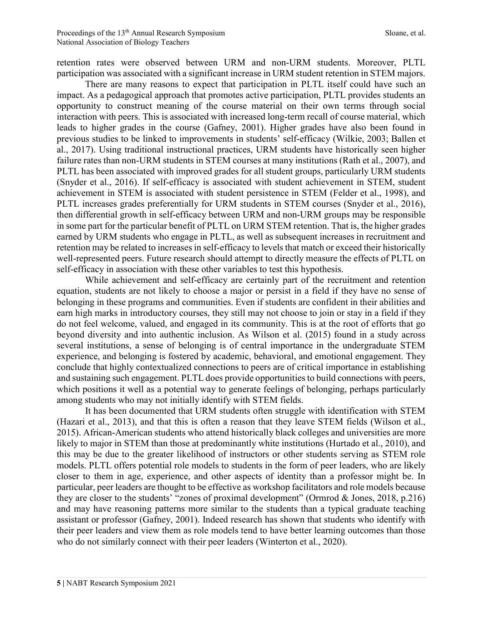retention rates were observed between URM and non-URM students. Moreover, PLTL participation was associated with a significant increase in URM student retention in STEM majors.

There are many reasons to expect that participation in PLTL itself could have such an impact. As a pedagogical approach that promotes active participation, PLTL provides students an opportunity to construct meaning of the course material on their own terms through social interaction with peers. This is associated with increased long-term recall of course material, which leads to higher grades in the course (Gafney, 2001). Higher grades have also been found in previous studies to be linked to improvements in students' self-efficacy (Wilkie, 2003; Ballen et al., 2017). Using traditional instructional practices, URM students have historically seen higher failure rates than non-URM students in STEM courses at many institutions (Rath et al., 2007), and PLTL has been associated with improved grades for all student groups, particularly URM students (Snyder et al., 2016). If self-efficacy is associated with student achievement in STEM, student achievement in STEM is associated with student persistence in STEM (Felder et al., 1998), and PLTL increases grades preferentially for URM students in STEM courses (Snyder et al., 2016), then differential growth in self-efficacy between URM and non-URM groups may be responsible in some part for the particular benefit of PLTL on URM STEM retention. That is, the higher grades earned by URM students who engage in PLTL, as well as subsequent increases in recruitment and retention may be related to increases in self-efficacy to levels that match or exceed their historically well-represented peers. Future research should attempt to directly measure the effects of PLTL on self-efficacy in association with these other variables to test this hypothesis.

While achievement and self-efficacy are certainly part of the recruitment and retention equation, students are not likely to choose a major or persist in a field if they have no sense of belonging in these programs and communities. Even if students are confident in their abilities and earn high marks in introductory courses, they still may not choose to join or stay in a field if they do not feel welcome, valued, and engaged in its community. This is at the root of efforts that go beyond diversity and into authentic inclusion. As Wilson et al. (2015) found in a study across several institutions, a sense of belonging is of central importance in the undergraduate STEM experience, and belonging is fostered by academic, behavioral, and emotional engagement. They conclude that highly contextualized connections to peers are of critical importance in establishing and sustaining such engagement. PLTL does provide opportunities to build connections with peers, which positions it well as a potential way to generate feelings of belonging, perhaps particularly among students who may not initially identify with STEM fields.

It has been documented that URM students often struggle with identification with STEM (Hazari et al., 2013), and that this is often a reason that they leave STEM fields (Wilson et al., 2015). African-American students who attend historically black colleges and universities are more likely to major in STEM than those at predominantly white institutions (Hurtado et al., 2010), and this may be due to the greater likelihood of instructors or other students serving as STEM role models. PLTL offers potential role models to students in the form of peer leaders, who are likely closer to them in age, experience, and other aspects of identity than a professor might be. In particular, peer leaders are thought to be effective as workshop facilitators and role models because they are closer to the students' "zones of proximal development" (Ormrod & Jones, 2018, p.216) and may have reasoning patterns more similar to the students than a typical graduate teaching assistant or professor (Gafney, 2001). Indeed research has shown that students who identify with their peer leaders and view them as role models tend to have better learning outcomes than those who do not similarly connect with their peer leaders (Winterton et al., 2020).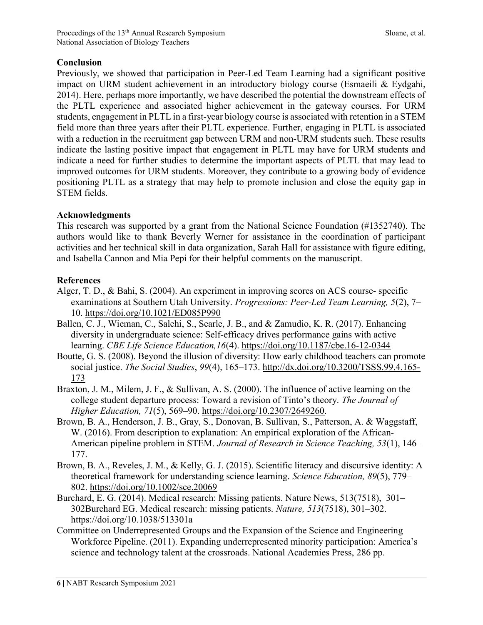## Conclusion

Previously, we showed that participation in Peer-Led Team Learning had a significant positive impact on URM student achievement in an introductory biology course (Esmaeili & Eydgahi, 2014). Here, perhaps more importantly, we have described the potential the downstream effects of the PLTL experience and associated higher achievement in the gateway courses. For URM students, engagement in PLTL in a first-year biology course is associated with retention in a STEM field more than three years after their PLTL experience. Further, engaging in PLTL is associated with a reduction in the recruitment gap between URM and non-URM students such. These results indicate the lasting positive impact that engagement in PLTL may have for URM students and indicate a need for further studies to determine the important aspects of PLTL that may lead to improved outcomes for URM students. Moreover, they contribute to a growing body of evidence positioning PLTL as a strategy that may help to promote inclusion and close the equity gap in STEM fields.

### Acknowledgments

This research was supported by a grant from the National Science Foundation (#1352740). The authors would like to thank Beverly Werner for assistance in the coordination of participant activities and her technical skill in data organization, Sarah Hall for assistance with figure editing, and Isabella Cannon and Mia Pepi for their helpful comments on the manuscript.

### References

- Alger, T. D., & Bahi, S. (2004). An experiment in improving scores on ACS course- specific examinations at Southern Utah University. Progressions: Peer-Led Team Learning, 5(2), 7– 10. https://doi.org/10.1021/ED085P990
- Ballen, C. J., Wieman, C., Salehi, S., Searle, J. B., and & Zamudio, K. R. (2017). Enhancing diversity in undergraduate science: Self-efficacy drives performance gains with active learning. CBE Life Science Education,16(4). https://doi.org/10.1187/cbe.16-12-0344
- Boutte, G. S. (2008). Beyond the illusion of diversity: How early childhood teachers can promote social justice. The Social Studies, 99(4), 165–173. http://dx.doi.org/10.3200/TSSS.99.4.165-173
- Braxton, J. M., Milem, J. F., & Sullivan, A. S. (2000). The influence of active learning on the college student departure process: Toward a revision of Tinto's theory. The Journal of Higher Education, 71(5), 569–90. https://doi.org/10.2307/2649260.
- Brown, B. A., Henderson, J. B., Gray, S., Donovan, B. Sullivan, S., Patterson, A. & Waggstaff, W. (2016). From description to explanation: An empirical exploration of the African-American pipeline problem in STEM. Journal of Research in Science Teaching, 53(1), 146– 177.
- Brown, B. A., Reveles, J. M., & Kelly, G. J. (2015). Scientific literacy and discursive identity: A theoretical framework for understanding science learning. Science Education, 89(5), 779– 802. https://doi.org/10.1002/sce.20069
- Burchard, E. G. (2014). Medical research: Missing patients. Nature News, 513(7518), 301– 302Burchard EG. Medical research: missing patients. Nature, 513(7518), 301–302. https://doi.org/10.1038/513301a
- Committee on Underrepresented Groups and the Expansion of the Science and Engineering Workforce Pipeline. (2011). Expanding underrepresented minority participation: America's science and technology talent at the crossroads. National Academies Press, 286 pp.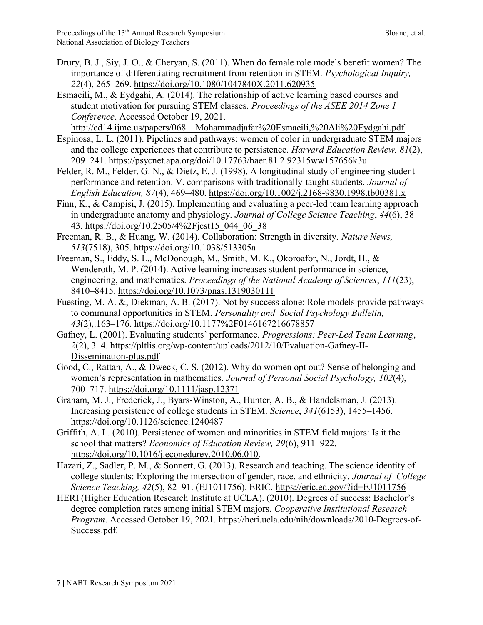- Drury, B. J., Siy, J. O., & Cheryan, S. (2011). When do female role models benefit women? The importance of differentiating recruitment from retention in STEM. Psychological Inquiry, 22(4), 265–269. https://doi.org/10.1080/1047840X.2011.620935
- Esmaeili, M., & Eydgahi, A. (2014). The relationship of active learning based courses and student motivation for pursuing STEM classes. Proceedings of the ASEE 2014 Zone 1 Conference. Accessed October 19, 2021.

http://cd14.ijme.us/papers/068\_\_Mohammadjafar%20Esmaeili,%20Ali%20Eydgahi.pdf

- Espinosa, L. L. (2011). Pipelines and pathways: women of color in undergraduate STEM majors and the college experiences that contribute to persistence. *Harvard Education Review.* 81(2), 209–241. https://psycnet.apa.org/doi/10.17763/haer.81.2.92315ww157656k3u
- Felder, R. M., Felder, G. N., & Dietz, E. J. (1998). A longitudinal study of engineering student performance and retention. V. comparisons with traditionally-taught students. Journal of English Education, 87(4), 469–480. https://doi.org/10.1002/j.2168-9830.1998.tb00381.x
- Finn, K., & Campisi, J. (2015). Implementing and evaluating a peer-led team learning approach in undergraduate anatomy and physiology. Journal of College Science Teaching, 44(6), 38– 43. https://doi.org/10.2505/4%2Fjcst15\_044\_06\_38
- Freeman, R. B., & Huang, W. (2014). Collaboration: Strength in diversity. Nature News, 513(7518), 305. https://doi.org/10.1038/513305a
- Freeman, S., Eddy, S. L., McDonough, M., Smith, M. K., Okoroafor, N., Jordt, H., & Wenderoth, M. P. (2014). Active learning increases student performance in science, engineering, and mathematics. *Proceedings of the National Academy of Sciences*, 111(23), 8410–8415. https://doi.org/10.1073/pnas.1319030111
- Fuesting, M. A. &, Diekman, A. B. (2017). Not by success alone: Role models provide pathways to communal opportunities in STEM. Personality and Social Psychology Bulletin, 43(2),:163–176. https://doi.org/10.1177%2F0146167216678857
- Gafney, L. (2001). Evaluating students' performance. Progressions: Peer-Led Team Learning, 2(2), 3–4. https://pltlis.org/wp-content/uploads/2012/10/Evaluation-Gafney-II-Dissemination-plus.pdf
- Good, C., Rattan, A., & Dweck, C. S. (2012). Why do women opt out? Sense of belonging and women's representation in mathematics. Journal of Personal Social Psychology, 102(4), 700–717. https://doi.org/10.1111/jasp.12371
- Graham, M. J., Frederick, J., Byars-Winston, A., Hunter, A. B., & Handelsman, J. (2013). Increasing persistence of college students in STEM. Science, 341(6153), 1455–1456. https://doi.org/10.1126/science.1240487
- Griffith, A. L. (2010). Persistence of women and minorities in STEM field majors: Is it the school that matters? Economics of Education Review, 29(6), 911–922. https://doi.org/10.1016/j.econedurev.2010.06.010.
- Hazari, Z., Sadler, P. M., & Sonnert, G. (2013). Research and teaching. The science identity of college students: Exploring the intersection of gender, race, and ethnicity. Journal of College Science Teaching, 42(5), 82–91. (EJ1011756). ERIC. https://eric.ed.gov/?id=EJ1011756
- HERI (Higher Education Research Institute at UCLA). (2010). Degrees of success: Bachelor's degree completion rates among initial STEM majors. Cooperative Institutional Research Program. Accessed October 19, 2021. https://heri.ucla.edu/nih/downloads/2010-Degrees-of-Success.pdf.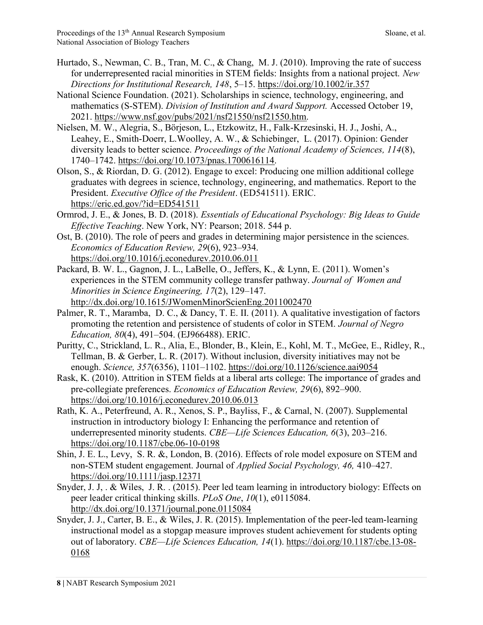- Hurtado, S., Newman, C. B., Tran, M. C., & Chang, M. J. (2010). Improving the rate of success for underrepresented racial minorities in STEM fields: Insights from a national project. New Directions for Institutional Research, 148, 5–15. https://doi.org/10.1002/ir.357
- National Science Foundation. (2021). Scholarships in science, technology, engineering, and mathematics (S-STEM). Division of Institution and Award Support. Accessed October 19, 2021. https://www.nsf.gov/pubs/2021/nsf21550/nsf21550.htm.
- Nielsen, M. W., Alegria, S., Börjeson, L., Etzkowitz, H., Falk-Krzesinski, H. J., Joshi, A., Leahey, E., Smith-Doerr, L.Woolley, A. W., & Schiebinger, L. (2017). Opinion: Gender diversity leads to better science. Proceedings of the National Academy of Sciences, 114(8), 1740–1742. https://doi.org/10.1073/pnas.1700616114.
- Olson, S., & Riordan, D. G. (2012). Engage to excel: Producing one million additional college graduates with degrees in science, technology, engineering, and mathematics. Report to the President. Executive Office of the President. (ED541511). ERIC. https://eric.ed.gov/?id=ED541511
- Ormrod, J. E., & Jones, B. D. (2018). Essentials of Educational Psychology: Big Ideas to Guide Effective Teaching. New York, NY: Pearson; 2018. 544 p.
- Ost, B. (2010). The role of peers and grades in determining major persistence in the sciences. Economics of Education Review, 29(6), 923–934. https://doi.org/10.1016/j.econedurev.2010.06.011
- Packard, B. W. L., Gagnon, J. L., LaBelle, O., Jeffers, K., & Lynn, E. (2011). Women's experiences in the STEM community college transfer pathway. Journal of Women and Minorities in Science Engineering, 17(2), 129–147. http://dx.doi.org/10.1615/JWomenMinorScienEng.2011002470
- Palmer, R. T., Maramba, D. C., & Dancy, T. E. II. (2011). A qualitative investigation of factors promoting the retention and persistence of students of color in STEM. Journal of Negro Education, 80(4), 491–504. (EJ966488). ERIC.
- Puritty, C., Strickland, L. R., Alia, E., Blonder, B., Klein, E., Kohl, M. T., McGee, E., Ridley, R., Tellman, B. & Gerber, L. R. (2017). Without inclusion, diversity initiatives may not be enough. Science, 357(6356), 1101–1102. https://doi.org/10.1126/science.aai9054
- Rask, K. (2010). Attrition in STEM fields at a liberal arts college: The importance of grades and pre-collegiate preferences. Economics of Education Review, 29(6), 892–900. https://doi.org/10.1016/j.econedurev.2010.06.013
- Rath, K. A., Peterfreund, A. R., Xenos, S. P., Bayliss, F., & Carnal, N. (2007). Supplemental instruction in introductory biology I: Enhancing the performance and retention of underrepresented minority students. CBE—Life Sciences Education, 6(3), 203–216. https://doi.org/10.1187/cbe.06-10-0198
- Shin, J. E. L., Levy, S. R. &, London, B. (2016). Effects of role model exposure on STEM and non-STEM student engagement. Journal of Applied Social Psychology, 46, 410–427. https://doi.org/10.1111/jasp.12371
- Snyder, J. J, . & Wiles, J. R. . (2015). Peer led team learning in introductory biology: Effects on peer leader critical thinking skills. PLoS One, 10(1), e0115084. http://dx.doi.org/10.1371/journal.pone.0115084
- Snyder, J. J., Carter, B. E., & Wiles, J. R. (2015). Implementation of the peer-led team-learning instructional model as a stopgap measure improves student achievement for students opting out of laboratory. CBE—Life Sciences Education, 14(1). https://doi.org/10.1187/cbe.13-08-0168